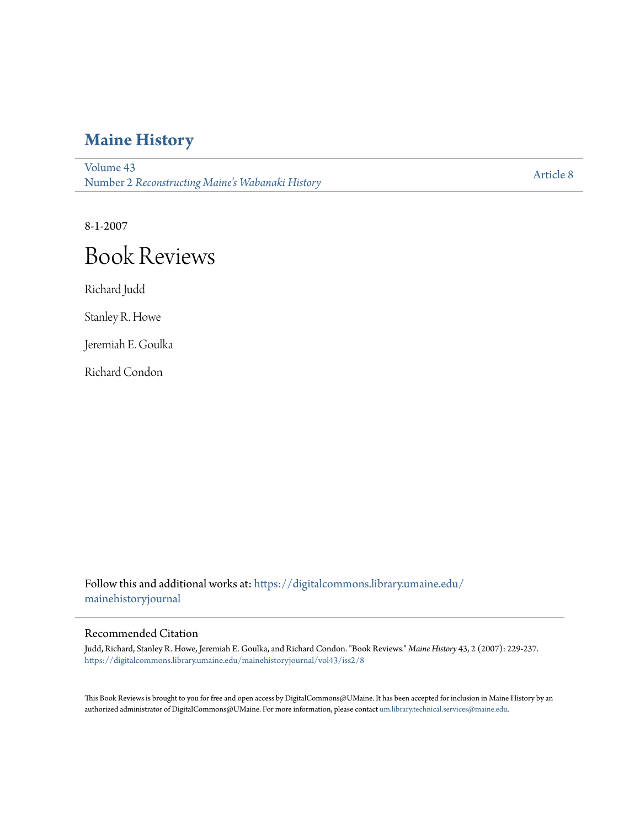## **[Maine History](https://digitalcommons.library.umaine.edu/mainehistoryjournal?utm_source=digitalcommons.library.umaine.edu%2Fmainehistoryjournal%2Fvol43%2Fiss2%2F8&utm_medium=PDF&utm_campaign=PDFCoverPages)**

[Volume 43](https://digitalcommons.library.umaine.edu/mainehistoryjournal/vol43?utm_source=digitalcommons.library.umaine.edu%2Fmainehistoryjournal%2Fvol43%2Fiss2%2F8&utm_medium=PDF&utm_campaign=PDFCoverPages) Number 2 *[Reconstructing Maine's Wabanaki History](https://digitalcommons.library.umaine.edu/mainehistoryjournal/vol43/iss2?utm_source=digitalcommons.library.umaine.edu%2Fmainehistoryjournal%2Fvol43%2Fiss2%2F8&utm_medium=PDF&utm_campaign=PDFCoverPages)*

[Article 8](https://digitalcommons.library.umaine.edu/mainehistoryjournal/vol43/iss2/8?utm_source=digitalcommons.library.umaine.edu%2Fmainehistoryjournal%2Fvol43%2Fiss2%2F8&utm_medium=PDF&utm_campaign=PDFCoverPages)

8-1-2007

# Book Reviews

Richard Judd

Stanley R. Howe

Jeremiah E. Goulka

Richard Condon

Follow this and additional works at: [https://digitalcommons.library.umaine.edu/](https://digitalcommons.library.umaine.edu/mainehistoryjournal?utm_source=digitalcommons.library.umaine.edu%2Fmainehistoryjournal%2Fvol43%2Fiss2%2F8&utm_medium=PDF&utm_campaign=PDFCoverPages) [mainehistoryjournal](https://digitalcommons.library.umaine.edu/mainehistoryjournal?utm_source=digitalcommons.library.umaine.edu%2Fmainehistoryjournal%2Fvol43%2Fiss2%2F8&utm_medium=PDF&utm_campaign=PDFCoverPages)

#### Recommended Citation

Judd, Richard, Stanley R. Howe, Jeremiah E. Goulka, and Richard Condon. "Book Reviews." *Maine History* 43, 2 (2007): 229-237. [https://digitalcommons.library.umaine.edu/mainehistoryjournal/vol43/iss2/8](https://digitalcommons.library.umaine.edu/mainehistoryjournal/vol43/iss2/8?utm_source=digitalcommons.library.umaine.edu%2Fmainehistoryjournal%2Fvol43%2Fiss2%2F8&utm_medium=PDF&utm_campaign=PDFCoverPages)

This Book Reviews is brought to you for free and open access by DigitalCommons@UMaine. It has been accepted for inclusion in Maine History by an authorized administrator of DigitalCommons@UMaine. For more information, please contact [um.library.technical.services@maine.edu.](mailto:um.library.technical.services@maine.edu)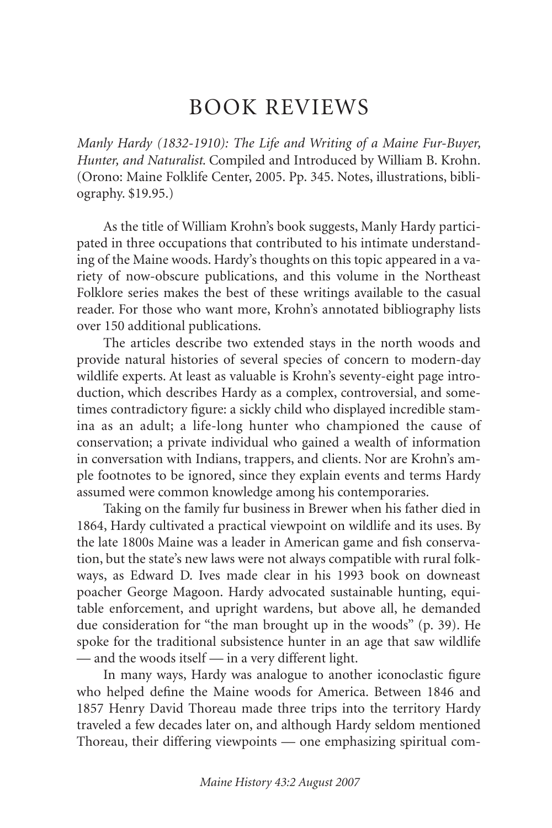### BOOK REVIEWS

*Manly Hardy (1832-1910): The Life and Writing of a Maine Fur-Buyer, Hunter, and Naturalist*. Compiled and Introduced by William B. Krohn. (Orono: Maine Folklife Center, 2005. Pp. 345. Notes, illustrations, bibliography. \$19.95.)

As the title of William Krohn's book suggests, Manly Hardy participated in three occupations that contributed to his intimate understanding of the Maine woods. Hardy's thoughts on this topic appeared in a variety of now-obscure publications, and this volume in the Northeast Folklore series makes the best of these writings available to the casual reader. For those who want more, Krohn's annotated bibliography lists over 150 additional publications.

The articles describe two extended stays in the north woods and provide natural histories of several species of concern to modern-day wildlife experts. At least as valuable is Krohn's seventy-eight page introduction, which describes Hardy as a complex, controversial, and sometimes contradictory figure: a sickly child who displayed incredible stamina as an adult; a life-long hunter who championed the cause of conservation; a private individual who gained a wealth of information in conversation with Indians, trappers, and clients. Nor are Krohn's ample footnotes to be ignored, since they explain events and terms Hardy assumed were common knowledge among his contemporaries.

Taking on the family fur business in Brewer when his father died in 1864, Hardy cultivated a practical viewpoint on wildlife and its uses. By the late 1800s Maine was a leader in American game and fish conservation, but the state's new laws were not always compatible with rural folkways, as Edward D. Ives made clear in his 1993 book on downeast poacher George Magoon. Hardy advocated sustainable hunting, equitable enforcement, and upright wardens, but above all, he demanded due consideration for "the man brought up in the woods" (p. 39). He spoke for the traditional subsistence hunter in an age that saw wildlife — and the woods itself — in a very different light.

In many ways, Hardy was analogue to another iconoclastic figure who helped define the Maine woods for America. Between 1846 and 1857 Henry David Thoreau made three trips into the territory Hardy traveled a few decades later on, and although Hardy seldom mentioned Thoreau, their differing viewpoints — one emphasizing spiritual com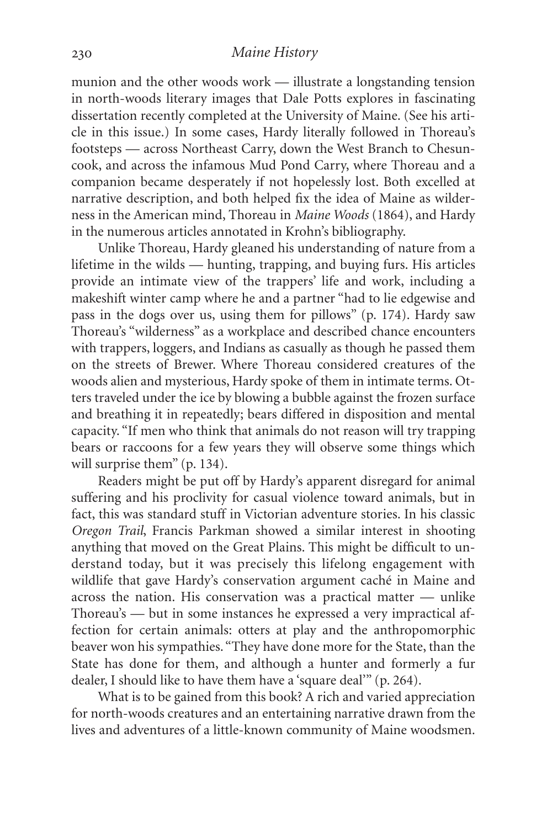munion and the other woods work — illustrate a longstanding tension in north-woods literary images that Dale Potts explores in fascinating dissertation recently completed at the University of Maine. (See his article in this issue.) In some cases, Hardy literally followed in Thoreau's footsteps — across Northeast Carry, down the West Branch to Chesuncook, and across the infamous Mud Pond Carry, where Thoreau and a companion became desperately if not hopelessly lost. Both excelled at narrative description, and both helped fix the idea of Maine as wilderness in the American mind, Thoreau in *Maine Woods* (1864), and Hardy in the numerous articles annotated in Krohn's bibliography.

Unlike Thoreau, Hardy gleaned his understanding of nature from a lifetime in the wilds — hunting, trapping, and buying furs. His articles provide an intimate view of the trappers' life and work, including a makeshift winter camp where he and a partner "had to lie edgewise and pass in the dogs over us, using them for pillows" (p. 174). Hardy saw Thoreau's "wilderness" as a workplace and described chance encounters with trappers, loggers, and Indians as casually as though he passed them on the streets of Brewer. Where Thoreau considered creatures of the woods alien and mysterious, Hardy spoke of them in intimate terms. Otters traveled under the ice by blowing a bubble against the frozen surface and breathing it in repeatedly; bears differed in disposition and mental capacity. "If men who think that animals do not reason will try trapping bears or raccoons for a few years they will observe some things which will surprise them" (p. 134).

Readers might be put off by Hardy's apparent disregard for animal suffering and his proclivity for casual violence toward animals, but in fact, this was standard stuff in Victorian adventure stories. In his classic *Oregon Trail*, Francis Parkman showed a similar interest in shooting anything that moved on the Great Plains. This might be difficult to understand today, but it was precisely this lifelong engagement with wildlife that gave Hardy's conservation argument caché in Maine and across the nation. His conservation was a practical matter — unlike Thoreau's — but in some instances he expressed a very impractical affection for certain animals: otters at play and the anthropomorphic beaver won his sympathies. "They have done more for the State, than the State has done for them, and although a hunter and formerly a fur dealer, I should like to have them have a 'square deal'" (p. 264).

What is to be gained from this book? A rich and varied appreciation for north-woods creatures and an entertaining narrative drawn from the lives and adventures of a little-known community of Maine woodsmen.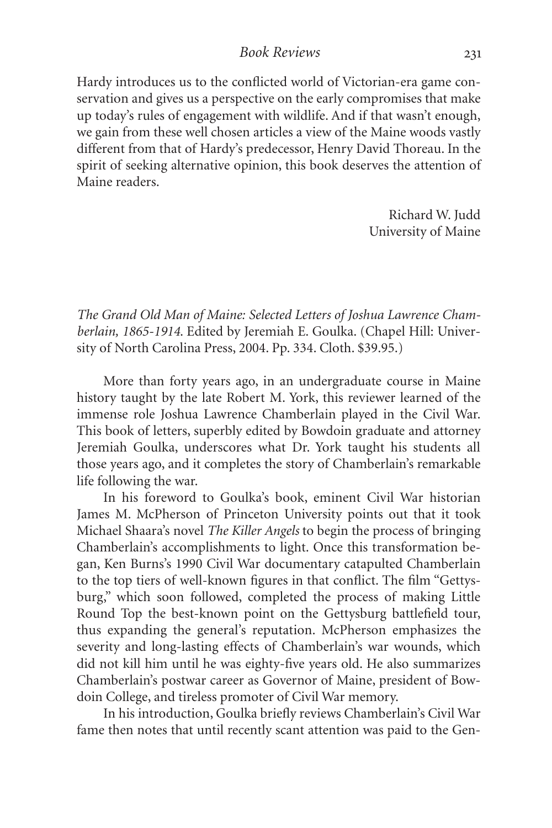Hardy introduces us to the conflicted world of Victorian-era game conservation and gives us a perspective on the early compromises that make up today's rules of engagement with wildlife. And if that wasn't enough, we gain from these well chosen articles a view of the Maine woods vastly different from that of Hardy's predecessor, Henry David Thoreau. In the spirit of seeking alternative opinion, this book deserves the attention of Maine readers.

> Richard W. Judd University of Maine

*The Grand Old Man of Maine: Selected Letters of Joshua Lawrence Chamberlain, 1865-1914*. Edited by Jeremiah E. Goulka. (Chapel Hill: University of North Carolina Press, 2004. Pp. 334. Cloth. \$39.95.)

More than forty years ago, in an undergraduate course in Maine history taught by the late Robert M. York, this reviewer learned of the immense role Joshua Lawrence Chamberlain played in the Civil War. This book of letters, superbly edited by Bowdoin graduate and attorney Jeremiah Goulka, underscores what Dr. York taught his students all those years ago, and it completes the story of Chamberlain's remarkable life following the war.

In his foreword to Goulka's book, eminent Civil War historian James M. McPherson of Princeton University points out that it took Michael Shaara's novel *The Killer Angels* to begin the process of bringing Chamberlain's accomplishments to light. Once this transformation began, Ken Burns's 1990 Civil War documentary catapulted Chamberlain to the top tiers of well-known figures in that conflict. The film "Gettysburg," which soon followed, completed the process of making Little Round Top the best-known point on the Gettysburg battlefield tour, thus expanding the general's reputation. McPherson emphasizes the severity and long-lasting effects of Chamberlain's war wounds, which did not kill him until he was eighty-five years old. He also summarizes Chamberlain's postwar career as Governor of Maine, president of Bowdoin College, and tireless promoter of Civil War memory.

In his introduction, Goulka briefly reviews Chamberlain's Civil War fame then notes that until recently scant attention was paid to the Gen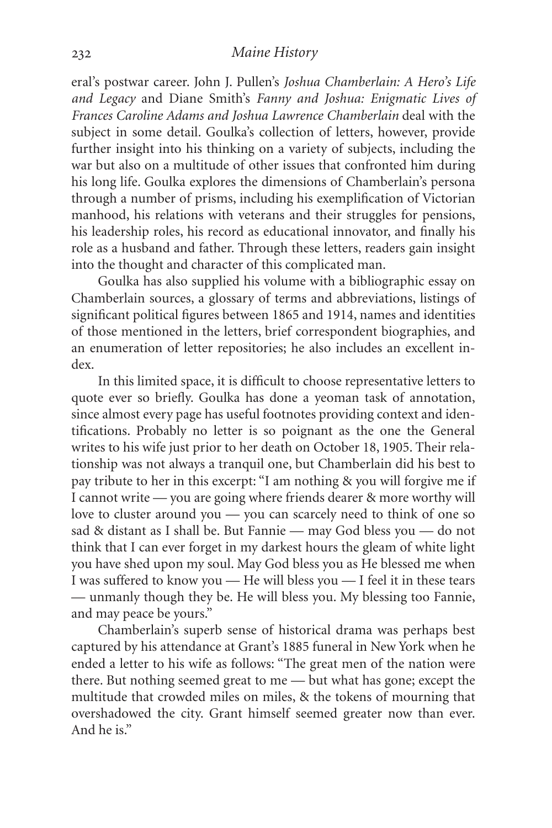eral's postwar career. John J. Pullen's *Joshua Chamberlain: A Hero's Life and Legacy* and Diane Smith's *Fanny and Joshua: Enigmatic Lives of Frances Caroline Adams and Joshua Lawrence Chamberlain* deal with the subject in some detail. Goulka's collection of letters, however, provide further insight into his thinking on a variety of subjects, including the war but also on a multitude of other issues that confronted him during his long life. Goulka explores the dimensions of Chamberlain's persona through a number of prisms, including his exemplification of Victorian manhood, his relations with veterans and their struggles for pensions, his leadership roles, his record as educational innovator, and finally his role as a husband and father. Through these letters, readers gain insight into the thought and character of this complicated man.

Goulka has also supplied his volume with a bibliographic essay on Chamberlain sources, a glossary of terms and abbreviations, listings of significant political figures between 1865 and 1914, names and identities of those mentioned in the letters, brief correspondent biographies, and an enumeration of letter repositories; he also includes an excellent index.

In this limited space, it is difficult to choose representative letters to quote ever so briefly. Goulka has done a yeoman task of annotation, since almost every page has useful footnotes providing context and identifications. Probably no letter is so poignant as the one the General writes to his wife just prior to her death on October 18, 1905. Their relationship was not always a tranquil one, but Chamberlain did his best to pay tribute to her in this excerpt: "I am nothing & you will forgive me if I cannot write — you are going where friends dearer & more worthy will love to cluster around you — you can scarcely need to think of one so sad & distant as I shall be. But Fannie — may God bless you — do not think that I can ever forget in my darkest hours the gleam of white light you have shed upon my soul. May God bless you as He blessed me when I was suffered to know you — He will bless you — I feel it in these tears — unmanly though they be. He will bless you. My blessing too Fannie, and may peace be yours."

Chamberlain's superb sense of historical drama was perhaps best captured by his attendance at Grant's 1885 funeral in New York when he ended a letter to his wife as follows: "The great men of the nation were there. But nothing seemed great to me — but what has gone; except the multitude that crowded miles on miles, & the tokens of mourning that overshadowed the city. Grant himself seemed greater now than ever. And he is."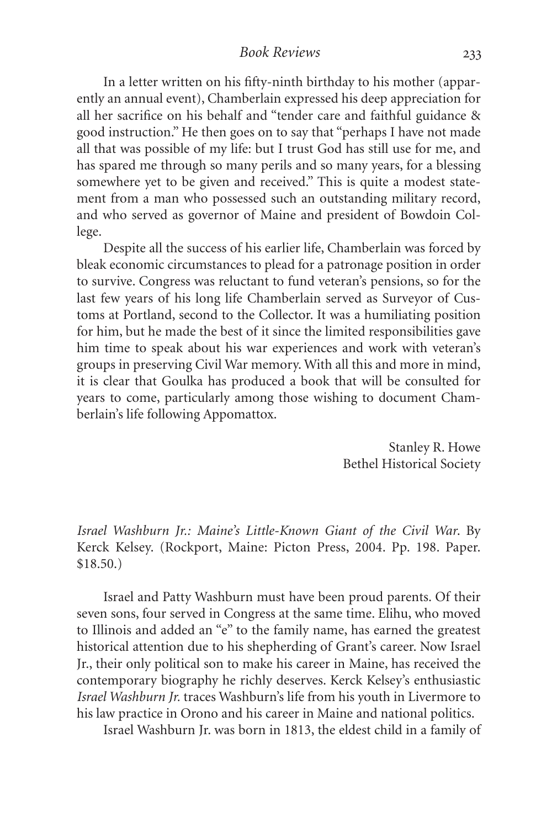*Book Reviews*

In a letter written on his fifty-ninth birthday to his mother (apparently an annual event), Chamberlain expressed his deep appreciation for all her sacrifice on his behalf and "tender care and faithful guidance & good instruction." He then goes on to say that "perhaps I have not made all that was possible of my life: but I trust God has still use for me, and has spared me through so many perils and so many years, for a blessing somewhere yet to be given and received." This is quite a modest statement from a man who possessed such an outstanding military record, and who served as governor of Maine and president of Bowdoin College.

Despite all the success of his earlier life, Chamberlain was forced by bleak economic circumstances to plead for a patronage position in order to survive. Congress was reluctant to fund veteran's pensions, so for the last few years of his long life Chamberlain served as Surveyor of Customs at Portland, second to the Collector. It was a humiliating position for him, but he made the best of it since the limited responsibilities gave him time to speak about his war experiences and work with veteran's groups in preserving Civil War memory. With all this and more in mind, it is clear that Goulka has produced a book that will be consulted for years to come, particularly among those wishing to document Chamberlain's life following Appomattox.

> Stanley R. Howe Bethel Historical Society

*Israel Washburn Jr.: Maine's Little-Known Giant of the Civil War*. By Kerck Kelsey. (Rockport, Maine: Picton Press, 2004. Pp. 198. Paper. \$18.50.)

Israel and Patty Washburn must have been proud parents. Of their seven sons, four served in Congress at the same time. Elihu, who moved to Illinois and added an "e" to the family name, has earned the greatest historical attention due to his shepherding of Grant's career. Now Israel Jr., their only political son to make his career in Maine, has received the contemporary biography he richly deserves. Kerck Kelsey's enthusiastic *Israel Washburn Jr.* traces Washburn's life from his youth in Livermore to his law practice in Orono and his career in Maine and national politics.

Israel Washburn Jr. was born in 1813, the eldest child in a family of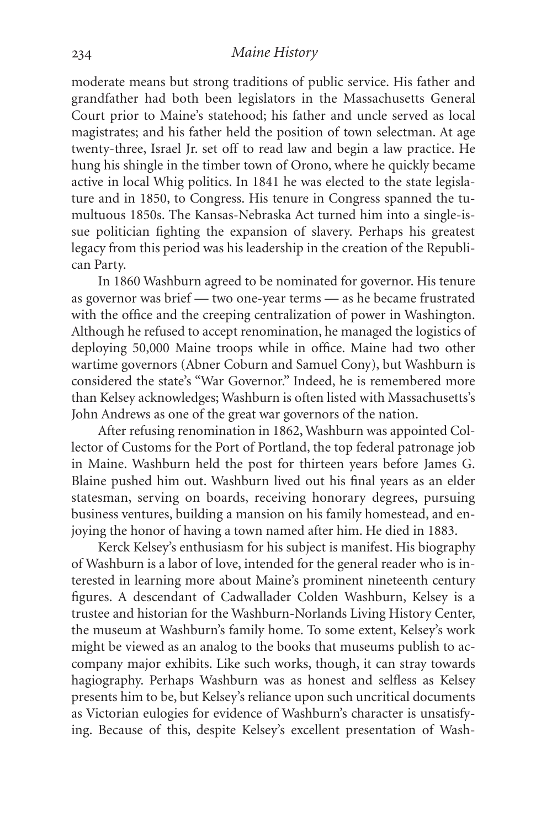moderate means but strong traditions of public service. His father and grandfather had both been legislators in the Massachusetts General Court prior to Maine's statehood; his father and uncle served as local magistrates; and his father held the position of town selectman. At age twenty-three, Israel Jr. set off to read law and begin a law practice. He hung his shingle in the timber town of Orono, where he quickly became active in local Whig politics. In 1841 he was elected to the state legislature and in 1850, to Congress. His tenure in Congress spanned the tumultuous 1850s. The Kansas-Nebraska Act turned him into a single-issue politician fighting the expansion of slavery. Perhaps his greatest legacy from this period was his leadership in the creation of the Republican Party.

In 1860 Washburn agreed to be nominated for governor. His tenure as governor was brief — two one-year terms — as he became frustrated with the office and the creeping centralization of power in Washington. Although he refused to accept renomination, he managed the logistics of deploying 50,000 Maine troops while in office. Maine had two other wartime governors (Abner Coburn and Samuel Cony), but Washburn is considered the state's "War Governor." Indeed, he is remembered more than Kelsey acknowledges; Washburn is often listed with Massachusetts's John Andrews as one of the great war governors of the nation.

After refusing renomination in 1862, Washburn was appointed Collector of Customs for the Port of Portland, the top federal patronage job in Maine. Washburn held the post for thirteen years before James G. Blaine pushed him out. Washburn lived out his final years as an elder statesman, serving on boards, receiving honorary degrees, pursuing business ventures, building a mansion on his family homestead, and enjoying the honor of having a town named after him. He died in 1883.

Kerck Kelsey's enthusiasm for his subject is manifest. His biography of Washburn is a labor of love, intended for the general reader who is interested in learning more about Maine's prominent nineteenth century figures. A descendant of Cadwallader Colden Washburn, Kelsey is a trustee and historian for the Washburn-Norlands Living History Center, the museum at Washburn's family home. To some extent, Kelsey's work might be viewed as an analog to the books that museums publish to accompany major exhibits. Like such works, though, it can stray towards hagiography. Perhaps Washburn was as honest and selfless as Kelsey presents him to be, but Kelsey's reliance upon such uncritical documents as Victorian eulogies for evidence of Washburn's character is unsatisfying. Because of this, despite Kelsey's excellent presentation of Wash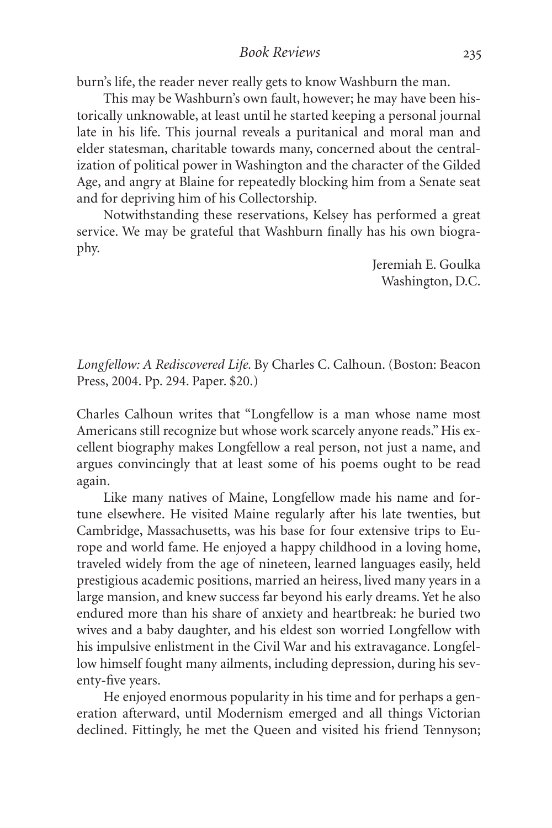*Book Reviews*

burn's life, the reader never really gets to know Washburn the man.

This may be Washburn's own fault, however; he may have been historically unknowable, at least until he started keeping a personal journal late in his life. This journal reveals a puritanical and moral man and elder statesman, charitable towards many, concerned about the centralization of political power in Washington and the character of the Gilded Age, and angry at Blaine for repeatedly blocking him from a Senate seat and for depriving him of his Collectorship.

Notwithstanding these reservations, Kelsey has performed a great service. We may be grateful that Washburn finally has his own biography.

> Jeremiah E. Goulka Washington, D.C.

*Longfellow: A Rediscovered Life.* By Charles C. Calhoun. (Boston: Beacon Press, 2004. Pp. 294. Paper. \$20.)

Charles Calhoun writes that "Longfellow is a man whose name most Americans still recognize but whose work scarcely anyone reads." His excellent biography makes Longfellow a real person, not just a name, and argues convincingly that at least some of his poems ought to be read again.

Like many natives of Maine, Longfellow made his name and fortune elsewhere. He visited Maine regularly after his late twenties, but Cambridge, Massachusetts, was his base for four extensive trips to Europe and world fame. He enjoyed a happy childhood in a loving home, traveled widely from the age of nineteen, learned languages easily, held prestigious academic positions, married an heiress, lived many years in a large mansion, and knew success far beyond his early dreams. Yet he also endured more than his share of anxiety and heartbreak: he buried two wives and a baby daughter, and his eldest son worried Longfellow with his impulsive enlistment in the Civil War and his extravagance. Longfellow himself fought many ailments, including depression, during his seventy-five years.

He enjoyed enormous popularity in his time and for perhaps a generation afterward, until Modernism emerged and all things Victorian declined. Fittingly, he met the Queen and visited his friend Tennyson;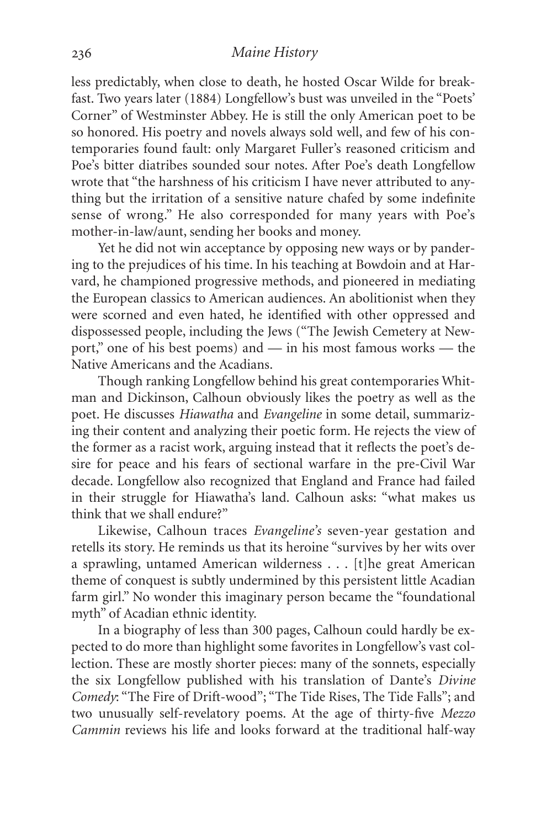#### *Maine History*

less predictably, when close to death, he hosted Oscar Wilde for breakfast. Two years later (1884) Longfellow's bust was unveiled in the "Poets' Corner" of Westminster Abbey. He is still the only American poet to be so honored. His poetry and novels always sold well, and few of his contemporaries found fault: only Margaret Fuller's reasoned criticism and Poe's bitter diatribes sounded sour notes. After Poe's death Longfellow wrote that "the harshness of his criticism I have never attributed to anything but the irritation of a sensitive nature chafed by some indefinite sense of wrong." He also corresponded for many years with Poe's mother-in-law/aunt, sending her books and money.

Yet he did not win acceptance by opposing new ways or by pandering to the prejudices of his time. In his teaching at Bowdoin and at Harvard, he championed progressive methods, and pioneered in mediating the European classics to American audiences. An abolitionist when they were scorned and even hated, he identified with other oppressed and dispossessed people, including the Jews ("The Jewish Cemetery at Newport," one of his best poems) and — in his most famous works — the Native Americans and the Acadians.

Though ranking Longfellow behind his great contemporaries Whitman and Dickinson, Calhoun obviously likes the poetry as well as the poet. He discusses *Hiawatha* and *Evangeline* in some detail, summarizing their content and analyzing their poetic form. He rejects the view of the former as a racist work, arguing instead that it reflects the poet's desire for peace and his fears of sectional warfare in the pre-Civil War decade. Longfellow also recognized that England and France had failed in their struggle for Hiawatha's land. Calhoun asks: "what makes us think that we shall endure?"

Likewise, Calhoun traces *Evangeline's* seven-year gestation and retells its story. He reminds us that its heroine "survives by her wits over a sprawling, untamed American wilderness . . . [t]he great American theme of conquest is subtly undermined by this persistent little Acadian farm girl." No wonder this imaginary person became the "foundational myth" of Acadian ethnic identity.

In a biography of less than 300 pages, Calhoun could hardly be expected to do more than highlight some favorites in Longfellow's vast collection. These are mostly shorter pieces: many of the sonnets, especially the six Longfellow published with his translation of Dante's *Divine Comedy*: "The Fire of Drift-wood"; "The Tide Rises, The Tide Falls"; and two unusually self-revelatory poems. At the age of thirty-five *Mezzo Cammin* reviews his life and looks forward at the traditional half-way